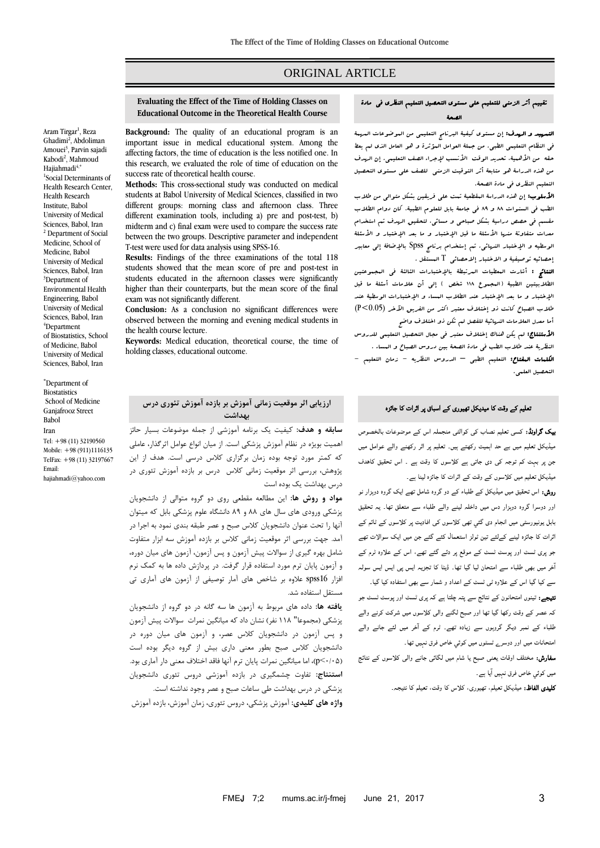# ORIGINAL ARTICLE

## تقییم أثر الزمني للتعلیم علي مستوی التحصیل التعلیم النظری في مادة الصحة

التمهید و الهدف: إن مستوی کیفیة البرنامج التعلیمي من الموضوعات المهمة في النظام التعلیمي الطبي. من جملة العوامل المؤثرة و هو العامل الذی لم یعط حقه من الأهبية، تحدید الوقت الأنسب لإجراء الصف التعلیمي. إن الهدف من هذه الدراسة هو متابعة أثر التوقیت الزمني للصف علي مستوی التحصیل التعلیم النظری في مادة الصحة.

**الأسلوب:** إن هذه الدراسة البقطعية تـمت على فریقین بشکل متوال<sub>ى</sub> من طلاب الطب في السنوات 88 و 88 في جامعة بابل للعلوم الطبیة، کان دوام الطالب مقسم في حصص دراسیة بشکل صباحي و مسائي، لتحقیق الهدف تم استخدام معدات متفاوتة منها الأسئلة ما قبل الإختبار و ما بعد الإختبار و الأسئلة الوسطیه و اإلختبار النهائي. تم إستخدام برنامج Spss باإلضافة إلي معابیر إحصائیه توصیفیة و االختبار إالحصائي T المستقل .

النتائج : أشارت المعطیات المرتبطة باإلختبارات الثالثة في المجموعتین الطلابیتین الطبیة (البجموع ١١٨ شخص ) إل<sub>ى</sub> أن علامات أ*مث*لة ما قبل اإلختبار و ما بعد اإلختبار عند الطالب المساء و اإلختبارات الوسطیة عند طالب الصباح کانت ذو إختالف معتبر اکثر من الفریق اآلخر (0.05>P( أما معدل العالمات النهائیة للفصل لم تکن ذو اختالف واضح

األستنتاج: لم یکن هناک إختالف معتبر في مجال التحصیل التعلیمي للدروس النظریة عند طالب الطب في مادة الصحة بین دروس الصباح و المساء . الکلمات المفتاح: التعلیم الطبي – الدروس النظریه - زمان التعلیم -

## تعلیم کے وقت کا میدیکل تھیوری کے اسباق پر اثرات کا جائزہ

التحصیل العلمي.

بیک گراونڈ: کسی تعلیم نصاب کی کوالٹی منجملہ اس کے موضوعات بالخصوص میڈیکل تعلیم میں بے حد اہمیت رکھتے ہیں۔ تعلیم پر اثر رکھنے والے عوامل میں جن پر بہت کم توجہ کی دی جاتی ہے کلاسوں کا وقت ہے ۔ اس تحقیق کاھدف میڈیکل تعلیم میں کلاسوں کے وقت کے اثرات کا جائزہ لینا ہے۔

روش: اس تحقیق میں میڈیکل کے طلباء کے دو گروہ شامل تھے ایک گروہ دوہزار نو اور دوسرا گروہ دوہزار دس میں داخلہ لینے والے طلباء سے متعلق تھا۔ یہ تحقیق بابل یونیورسٹی میں انجام دی گئي تھی کلاسوں کی افادیت پر کلاسوں کے ٹائم کے اثرات کا جائزہ لینے کےلئے تین ٹولز استعمال کئے گئے جن میں ایک سوالات تھے جو پری ٹسٹ اور پوسٹ ٹسٹ کے موقع پر دئے گئے تھے، اس کے علاوہ ٹرم کے ا خر میں بھی طلباء سے امتحان لیا گيا تھا۔ ڈیٹا کا تجزیہ ایس پی ایس ایس سولہ سے کیا گیا اس کے علاوہ ٹی ٹسٹ کے اعداد و شمار سے بھی استفادہ کیا گیا۔ نتیجے: تینوں امتحانون کے نتائج سے پتہ چلتا ہے کہ پری ٹسٹ اور پوسٹ ٹسٹ جو کہ عصر کے وقت رکھا گيا تھا اور صبح لگنے والی کلاسوں میں شرکت کرنے والے طلباء کے نمبر دیگر گروہوں سے زیادہ تھے۔ ٹرم کے ا خر میں لئے جانے والے

امتحانات میں اور دوسرے ٹسٹوں میں کوئي خاص فرق نہيں تھا۔ سفارش: مختلف اوقات یعنی صبح یا شام میں لگائی جانے والی کلاسوں کے نتائج میں کوئي خاص فرق نہیں ا یا ہے۔

کلیدی الفاظ: میڈیکل تعیلم، تھیوری، کلاس کا وقت، تعیلم کا نتیجہ۔

### **Evaluating the Effect of the Time of Holding Classes on Educational Outcome in the Theoretical Health Course**

**Background:** The quality of an educational program is an important issue in medical educational system. Among the affecting factors, the time of education is the less notified one. In this research, we evaluated the role of time of education on the success rate of theoretical health course.

**Methods:** This cross-sectional study was conducted on medical students at Babol University of Medical Sciences, classified in two different groups: morning class and afternoon class. Three different examination tools, including a) pre and post-test, b) midterm and c) final exam were used to compare the success rate between the two groups. Descriptive parameter and independent T-test were used for data analysis using SPSS-16.

**Results:** Findings of the three examinations of the total 118 students showed that the mean score of pre and post-test in students educated in the afternoon classes were significantly higher than their counterparts, but the mean score of the final exam was not significantly different.

**Conclusion:** As a conclusion no significant differences were observed between the morning and evening medical students in the health course lecture.

**Keywords:** Medical education, theoretical course, the time of holding classes, educational outcome.

### **ارزیابی اثر موقعیت زمانی آموزش بر بازده آموزش تئوری درس بهداشت**

**سابقه و هدف:** كيفيت يك برنامه آموزشي از جمله موضوعات بسيار حائز اهميت بويژه در نظام آموزش پزشكي است. از ميان انواع عوامل اثرگذار، عاملي كه كمتر مورد توجه بوده زمان برگزاری كالس درسي است. هدف از اين پژوهش، بررسي اثر موقعيت زماني كالس درس بر بازده آموزش تئوری در درس بهداشت يك بوده است

**مواد و روش ها:** اين مطالعه مقطعي روی دو گروه متوالي از دانشجويان پزشكي ورودی های سال های 88 و 88 دانشگاه علوم پزشكي بابل كه ميتوان آنها را تحت عنوان دانشجويان كالس صبح و عصر طبقه بندی نمود به اجرا در آمد. جهت بررسي اثر موقعيت زماني كالس بر بازده آموزش سه ابزار متفاوت شامل بهره گيری از سواالت پيش آزمون و پس آزمون، آزمون های ميان دوره، و آزمون پايان ترم مورد استفاده قرار گرفت. در پردازش داده ها به كمك نرم افزار 16spss عالوه بر شاخص های آمار توصيفي از آزمون های آماری تي مستقل استفاده شد.

**یافته ها:** داده های مربوط به آزمون ها سه گانه در دو گروه از دانشجويان پزشكي (مجموعا" ۱۱۸ نفر) نشان داد كه ميانگين نمرات سوالات پيش آزمون و پس آزمون در دانشجويان كالس عصر، و آزمون های ميان دوره در دانشجويان كالس صبح بطور معني داری بيش از گروه ديگر بوده است )5/50<p)، اما ميانگين نمرات پايان ترم آنها فاقد اختالف معني دار آماری بود. **استنتاج:** تفاوت چشمگيری در بازده آموزشي دروس تئوری دانشجويان پزشكي در درس بهداشت طي ساعات صبح و عصر وجود نداشته است.

**واژه های کلیدی:** آموزش پزشكي، دروس تئوری، زمان آموزش، بازده آموزش

Aram Tirgar<sup>1</sup>, Reza Ghadimi<sup>2</sup>, Abdoliman Amouei<sup>3</sup>, Parvin sajadi Kabodi<sup>2</sup>, Mahmoud Hajiahmadi<sup>4,\*</sup> 1 Social Determinants of Health Research Center, Health Research Institute, Babol University of Medical Sciences, Babol, Iran <sup>2</sup> Department of Social Medicine, School of Medicine, Babol University of Medical Sciences, Babol, Iran <sup>3</sup>Department of Environmental Health Engineering, Babol University of Medical Sciences, Babol, Iran <sup>4</sup>Department of Biostatistics, School of Medicine, Babol University of Medical Sciences, Babol, Iran

Department of Biostatistics School of Medicine Ganjafrooz Street Babol Iran Tel: +98 (11) 32190560 Mobile: +98 (911)1116135 TelFax: +98 (11) 32197667 Email: [hajiahmadi@yahoo.com](mailto:hajiahmadi@yahoo.com)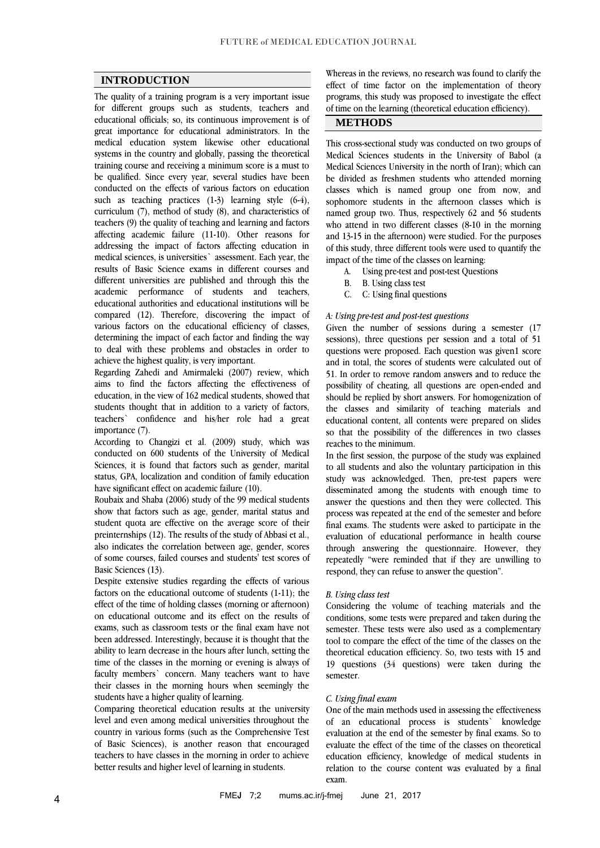### **INTRODUCTION**

The quality of a training program is a very important issue for different groups such as students, teachers and educational officials; so, its continuous improvement is of great importance for educational administrators. In the medical education system likewise other educational systems in the country and globally, passing the theoretical training course and receiving a minimum score is a must to be qualified. Since every year, several studies have been conducted on the effects of various factors on education such as teaching practices (1-3) learning style (6-4), curriculum (7), method of study (8), and characteristics of teachers (9) the quality of teaching and learning and factors affecting academic failure (11-10). Other reasons for addressing the impact of factors affecting education in medical sciences, is universities` assessment. Each year, the results of Basic Science exams in different courses and different universities are published and through this the academic performance of students and teachers, educational authorities and educational institutions will be compared (12). Therefore, discovering the impact of various factors on the educational efficiency of classes, determining the impact of each factor and finding the way to deal with these problems and obstacles in order to achieve the highest quality, is very important.

Regarding Zahedi and Amirmaleki (2007) review, which aims to find the factors affecting the effectiveness of education, in the view of 162 medical students, showed that students thought that in addition to a variety of factors, teachers` confidence and his/her role had a great importance (7).

According to Changizi et al. (2009) study, which was conducted on 600 students of the University of Medical Sciences, it is found that factors such as gender, marital status, GPA, localization and condition of family education have significant effect on academic failure (10).

Roubaix and Shaba (2006) study of the 99 medical students show that factors such as age, gender, marital status and student quota are effective on the average score of their preinternships (12). The results of the study of Abbasi et al., also indicates the correlation between age, gender, scores of some courses, failed courses and students' test scores of Basic Sciences (13).

Despite extensive studies regarding the effects of various factors on the educational outcome of students (1-11); the effect of the time of holding classes (morning or afternoon) on educational outcome and its effect on the results of exams, such as classroom tests or the final exam have not been addressed. Interestingly, because it is thought that the ability to learn decrease in the hours after lunch, setting the time of the classes in the morning or evening is always of faculty members` concern. Many teachers want to have their classes in the morning hours when seemingly the students have a higher quality of learning.

Comparing theoretical education results at the university level and even among medical universities throughout the country in various forms (such as the Comprehensive Test of Basic Sciences), is another reason that encouraged teachers to have classes in the morning in order to achieve better results and higher level of learning in students.

Whereas in the reviews, no research was found to clarify the effect of time factor on the implementation of theory programs, this study was proposed to investigate the effect of time on the learning (theoretical education efficiency).

## **METHODS**

This cross-sectional study was conducted on two groups of Medical Sciences students in the University of Babol (a Medical Sciences University in the north of Iran); which can be divided as freshmen students who attended morning classes which is named group one from now, and sophomore students in the afternoon classes which is named group two. Thus, respectively 62 and 56 students who attend in two different classes (8-10 in the morning and 13-15 in the afternoon) were studied. For the purposes of this study, three different tools were used to quantify the impact of the time of the classes on learning:

- A. Using pre-test and post-test Questions
- B. B. Using class test
- C. C: Using final questions

#### *A: Using pre-test and post-test questions*

Given the number of sessions during a semester (17 sessions), three questions per session and a total of 51 questions were proposed. Each question was given1 score and in total, the scores of students were calculated out of 51. In order to remove random answers and to reduce the possibility of cheating, all questions are open-ended and should be replied by short answers. For homogenization of the classes and similarity of teaching materials and educational content, all contents were prepared on slides so that the possibility of the differences in two classes reaches to the minimum.

In the first session, the purpose of the study was explained to all students and also the voluntary participation in this study was acknowledged. Then, pre-test papers were disseminated among the students with enough time to answer the questions and then they were collected. This process was repeated at the end of the semester and before final exams. The students were asked to participate in the evaluation of educational performance in health course through answering the questionnaire. However, they repeatedly "were reminded that if they are unwilling to respond, they can refuse to answer the question".

#### *B. Using class test*

Considering the volume of teaching materials and the conditions, some tests were prepared and taken during the semester. These tests were also used as a complementary tool to compare the effect of the time of the classes on the theoretical education efficiency. So, two tests with 15 and 19 questions (34 questions) were taken during the semester.

#### *C. Using final exam*

One of the main methods used in assessing the effectiveness of an educational process is students` knowledge evaluation at the end of the semester by final exams. So to evaluate the effect of the time of the classes on theoretical education efficiency, knowledge of medical students in relation to the course content was evaluated by a final exam.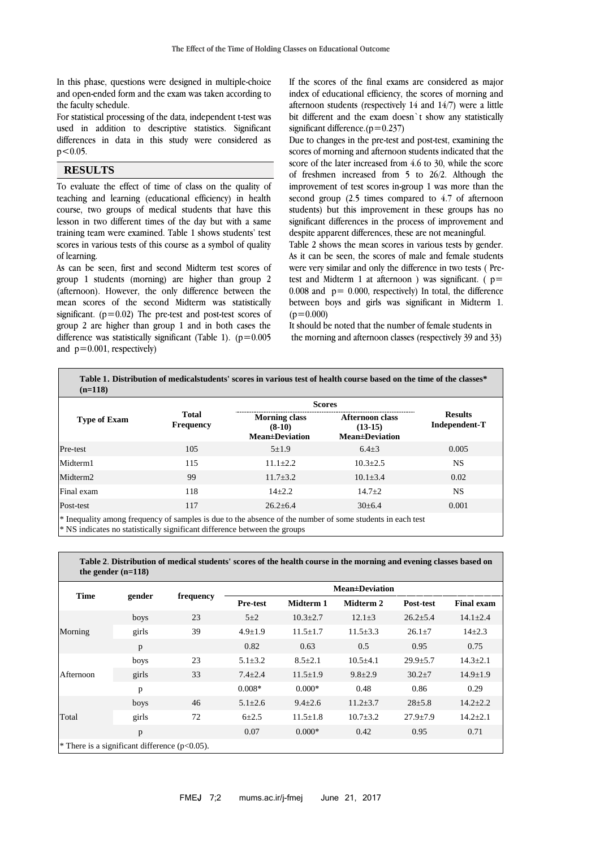In this phase, questions were designed in multiple-choice and open-ended form and the exam was taken according to the faculty schedule.

For statistical processing of the data, independent t-test was used in addition to descriptive statistics. Significant differences in data in this study were considered as  $p < 0.05$ .

## **RESULTS**

To evaluate the effect of time of class on the quality of teaching and learning (educational efficiency) in health course, two groups of medical students that have this lesson in two different times of the day but with a same training team were examined. Table 1 shows students' test scores in various tests of this course as a symbol of quality of learning.

As can be seen, first and second Midterm test scores of group 1 students (morning) are higher than group 2 (afternoon). However, the only difference between the mean scores of the second Midterm was statistically significant. ( $p=0.02$ ) The pre-test and post-test scores of group 2 are higher than group 1 and in both cases the difference was statistically significant (Table 1).  $(p=0.005$ and  $p=0.001$ , respectively)

**the gender (n=118)**

If the scores of the final exams are considered as major index of educational efficiency, the scores of morning and afternoon students (respectively 14 and 14/7) were a little bit different and the exam doesn`t show any statistically significant difference. $(p=0.237)$ 

Due to changes in the pre-test and post-test, examining the scores of morning and afternoon students indicated that the score of the later increased from 4.6 to 30, while the score of freshmen increased from 5 to 26/2. Although the improvement of test scores in-group 1 was more than the second group (2.5 times compared to 4.7 of afternoon students) but this improvement in these groups has no significant differences in the process of improvement and despite apparent differences, these are not meaningful.

Table 2 shows the mean scores in various tests by gender. As it can be seen, the scores of male and female students were very similar and only the difference in two tests ( Pretest and Midterm 1 at afternoon ) was significant. ( $p=$ 0.008 and  $p = 0.000$ , respectively) In total, the difference between boys and girls was significant in Midterm 1.  $(p=0.000)$ 

It should be noted that the number of female students in the morning and afternoon classes (respectively 39 and 33)

|                      |                                  | <b>Scores</b>                                              |                                                               |                                 |  |
|----------------------|----------------------------------|------------------------------------------------------------|---------------------------------------------------------------|---------------------------------|--|
| <b>Type of Exam</b>  | <b>Total</b><br><b>Frequency</b> | <b>Morning class</b><br>$(8-10)$<br><b>Mean</b> ±Deviation | <b>Afternoon class</b><br>$(13-15)$<br><b>Mean</b> ±Deviation | <b>Results</b><br>Independent-T |  |
| Pre-test             | 105                              | $5 + 1.9$                                                  | $6.4 + 3$                                                     | 0.005                           |  |
| Midterm1             | 115                              | $11.1 + 2.2$                                               | $10.3 + 2.5$                                                  | NS.                             |  |
| Midterm <sub>2</sub> | 99                               | $11.7 + 3.2$                                               | $10.1 \pm 3.4$                                                | 0.02                            |  |
| Final exam           | 118                              | $14 + 2.2$                                                 | $14.7 \pm 2$                                                  | <b>NS</b>                       |  |
| Post-test            | 117                              | $26.2 + 6.4$                                               | $30\pm 6.4$                                                   | 0.001                           |  |

**Table 2**. **Distribution of medical students' scores of the health course in the morning and evening classes based on** 

|                                                   | $\mu = 110$ |           |                        |                |                |                |                   |
|---------------------------------------------------|-------------|-----------|------------------------|----------------|----------------|----------------|-------------------|
| <b>Time</b>                                       | gender      | frequency | <b>Mean</b> ±Deviation |                |                |                |                   |
|                                                   |             |           | <b>Pre-test</b>        | Midterm 1      | Midterm 2      | Post-test      | <b>Final exam</b> |
| Morning                                           | boys        | 23        | $5 + 2$                | $10.3 + 2.7$   | $12.1 \pm 3$   | $26.2 \pm 5.4$ | $14.1 \pm 2.4$    |
|                                                   | girls       | 39        | $4.9 \pm 1.9$          | $11.5 \pm 1.7$ | $11.5 \pm 3.3$ | $26.1 \pm 7$   | $14 + 2.3$        |
|                                                   | p           |           | 0.82                   | 0.63           | 0.5            | 0.95           | 0.75              |
| Afternoon                                         | boys        | 23        | $5.1 \pm 3.2$          | $8.5 \pm 2.1$  | $10.5 + 4.1$   | $29.9 \pm 5.7$ | $14.3 \pm 2.1$    |
|                                                   | girls       | 33        | $7.4 \pm 2.4$          | $11.5 \pm 1.9$ | $9.8 \pm 2.9$  | $30.2 \pm 7$   | $14.9 \pm 1.9$    |
|                                                   | p           |           | $0.008*$               | $0.000*$       | 0.48           | 0.86           | 0.29              |
| Total                                             | boys        | 46        | $5.1 \pm 2.6$          | $9.4 \pm 2.6$  | $11.2 \pm 3.7$ | $28 + 5.8$     | $14.2 \pm 2.2$    |
|                                                   | girls       | 72        | $6 + 2.5$              | $11.5 \pm 1.8$ | $10.7 + 3.2$   | $27.9 \pm 7.9$ | $14.2 \pm 2.1$    |
|                                                   | p           |           | 0.07                   | $0.000*$       | 0.42           | 0.95           | 0.71              |
| * There is a significant difference ( $p<0.05$ ). |             |           |                        |                |                |                |                   |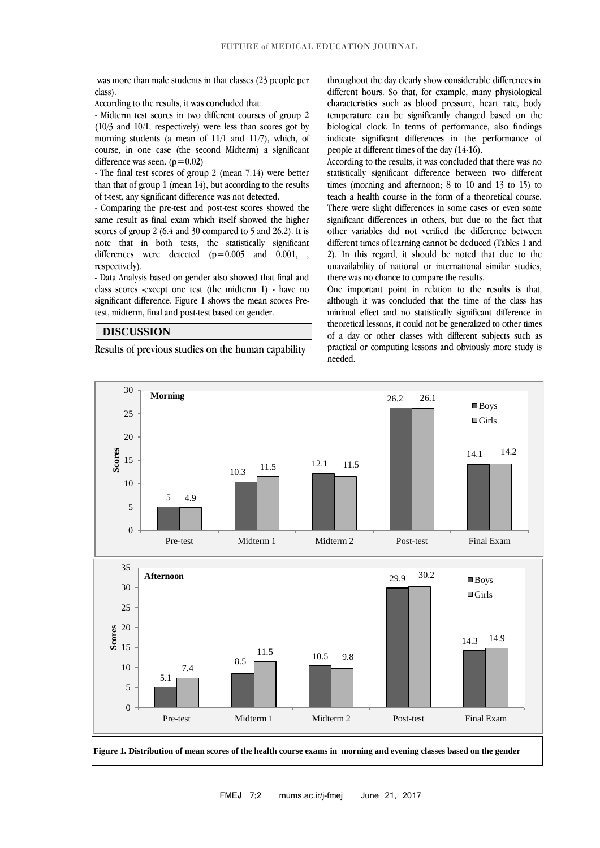was more than male students in that classes (23 people per class).

According to the results, it was concluded that:

- Midterm test scores in two different courses of group 2 (10/3 and 10/1, respectively) were less than scores got by morning students (a mean of 11/1 and 11/7), which, of course, in one case (the second Midterm) a significant difference was seen.  $(p=0.02)$ 

- The final test scores of group 2 (mean 7.14) were better than that of group 1 (mean 14), but according to the results of t-test, any significant difference was not detected.

- Comparing the pre-test and post-test scores showed the same result as final exam which itself showed the higher scores of group 2 (6.4 and 30 compared to 5 and 26.2). It is note that in both tests, the statistically significant differences were detected  $(p=0.005$  and 0.001, , respectively).

- Data Analysis based on gender also showed that final and class scores -except one test (the midterm 1) - have no significant difference. Figure 1 shows the mean scores Pretest, midterm, final and post-test based on gender.

### **DISCUSSION**

Results of previous studies on the human capability

throughout the day clearly show considerable differences in different hours. So that, for example, many physiological characteristics such as blood pressure, heart rate, body temperature can be significantly changed based on the biological clock. In terms of performance, also findings indicate significant differences in the performance of people at different times of the day (14-16).

According to the results, it was concluded that there was no statistically significant difference between two different times (morning and afternoon; 8 to 10 and 13 to 15) to teach a health course in the form of a theoretical course. There were slight differences in some cases or even some significant differences in others, but due to the fact that other variables did not verified the difference between different times of learning cannot be deduced (Tables 1 and 2). In this regard, it should be noted that due to the unavailability of national or international similar studies, there was no chance to compare the results.

One important point in relation to the results is that, although it was concluded that the time of the class has minimal effect and no statistically significant difference in theoretical lessons, it could not be generalized to other times of a day or other classes with different subjects such as practical or computing lessons and obviously more study is needed.